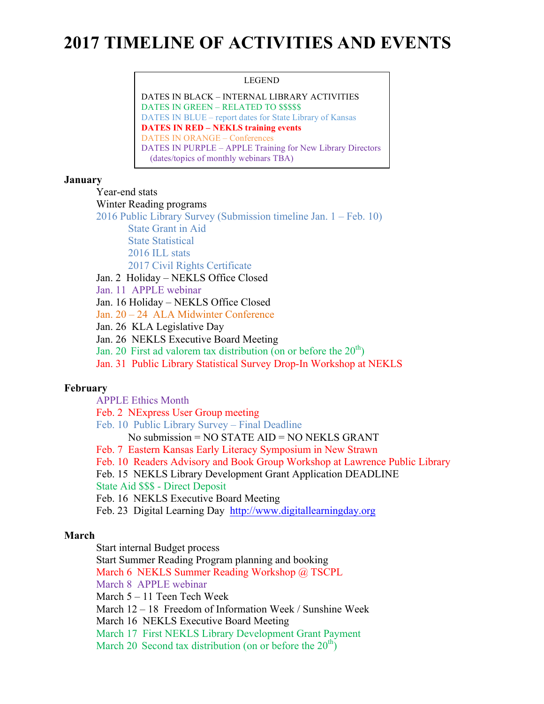# **2017 TIMELINE OF ACTIVITIES AND EVENTS**

#### LEGEND

DATES IN BLACK – INTERNAL LIBRARY ACTIVITIES DATES IN GREEN – RELATED TO \$\$\$\$\$ DATES IN BLUE – report dates for State Library of Kansas **DATES IN RED – NEKLS training events** DATES IN ORANGE – Conferences DATES IN PURPLE – APPLE Training for New Library Directors (dates/topics of monthly webinars TBA)

## **January**

Year-end stats

Winter Reading programs

2016 Public Library Survey (Submission timeline Jan. 1 – Feb. 10)

State Grant in Aid

State Statistical

2016 ILL stats

2017 Civil Rights Certificate

Jan. 2 Holiday – NEKLS Office Closed

Jan. 11 APPLE webinar

Jan. 16 Holiday – NEKLS Office Closed

Jan. 20 – 24 ALA Midwinter Conference

Jan. 26 KLA Legislative Day

Jan. 26 NEKLS Executive Board Meeting

Jan. 20 First ad valorem tax distribution (on or before the  $20<sup>th</sup>$ )

Jan. 31 Public Library Statistical Survey Drop-In Workshop at NEKLS

# **February**

APPLE Ethics Month

Feb. 2 NExpress User Group meeting

Feb. 10 Public Library Survey – Final Deadline

No submission = NO STATE AID = NO NEKLS GRANT

Feb. 7 Eastern Kansas Early Literacy Symposium in New Strawn

Feb. 10 Readers Advisory and Book Group Workshop at Lawrence Public Library

Feb. 15 NEKLS Library Development Grant Application DEADLINE

State Aid \$\$\$ - Direct Deposit

Feb. 16 NEKLS Executive Board Meeting

Feb. 23 Digital Learning Day http://www.digitallearningday.org

# **March**

Start internal Budget process

Start Summer Reading Program planning and booking

March 6 NEKLS Summer Reading Workshop @ TSCPL

March 8 APPLE webinar

March 5 – 11 Teen Tech Week

March 12 – 18 Freedom of Information Week / Sunshine Week

March 16 NEKLS Executive Board Meeting

March 17 First NEKLS Library Development Grant Payment

March 20 Second tax distribution (on or before the  $20<sup>th</sup>$ )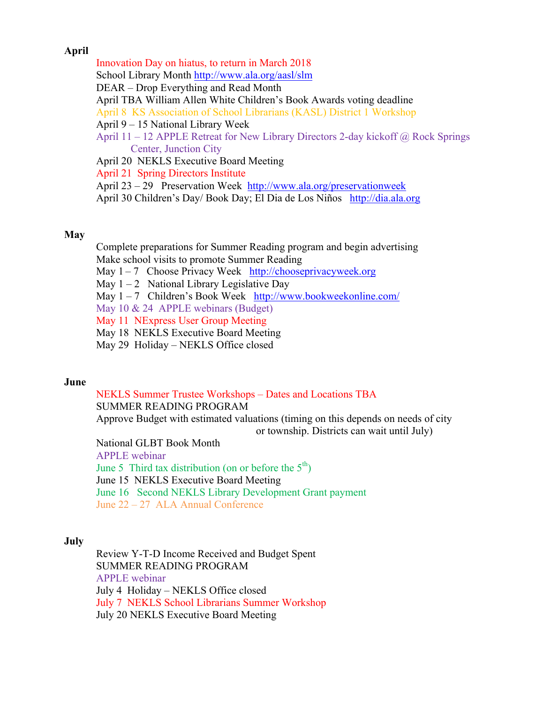# **April**

Innovation Day on hiatus, to return in March 2018 School Library Month http://www.ala.org/aasl/slm DEAR – Drop Everything and Read Month April TBA William Allen White Children's Book Awards voting deadline April 8 KS Association of School Librarians (KASL) District 1 Workshop April 9 – 15 National Library Week April 11 – 12 APPLE Retreat for New Library Directors 2-day kickoff  $\omega$  Rock Springs Center, Junction City April 20 NEKLS Executive Board Meeting April 21 Spring Directors Institute April 23 – 29 Preservation Week http://www.ala.org/preservationweek

April 30 Children's Day/ Book Day; El Dia de Los Niños http://dia.ala.org

## **May**

Complete preparations for Summer Reading program and begin advertising Make school visits to promote Summer Reading

May 1 – 7 Choose Privacy Week http://chooseprivacyweek.org

May  $1 - 2$  National Library Legislative Day

May 1 – 7 Children's Book Week http://www.bookweekonline.com/

May 10 & 24 APPLE webinars (Budget)

May 11 NExpress User Group Meeting

May 18 NEKLS Executive Board Meeting

May 29 Holiday – NEKLS Office closed

#### **June**

NEKLS Summer Trustee Workshops – Dates and Locations TBA SUMMER READING PROGRAM Approve Budget with estimated valuations (timing on this depends on needs of city or township. Districts can wait until July)

National GLBT Book Month

APPLE webinar

June 5 Third tax distribution (on or before the  $5<sup>th</sup>$ ) June 15 NEKLS Executive Board Meeting June 16 Second NEKLS Library Development Grant payment June 22 – 27 ALA Annual Conference

# **July**

Review Y-T-D Income Received and Budget Spent SUMMER READING PROGRAM APPLE webinar July 4 Holiday – NEKLS Office closed July 7 NEKLS School Librarians Summer Workshop July 20 NEKLS Executive Board Meeting